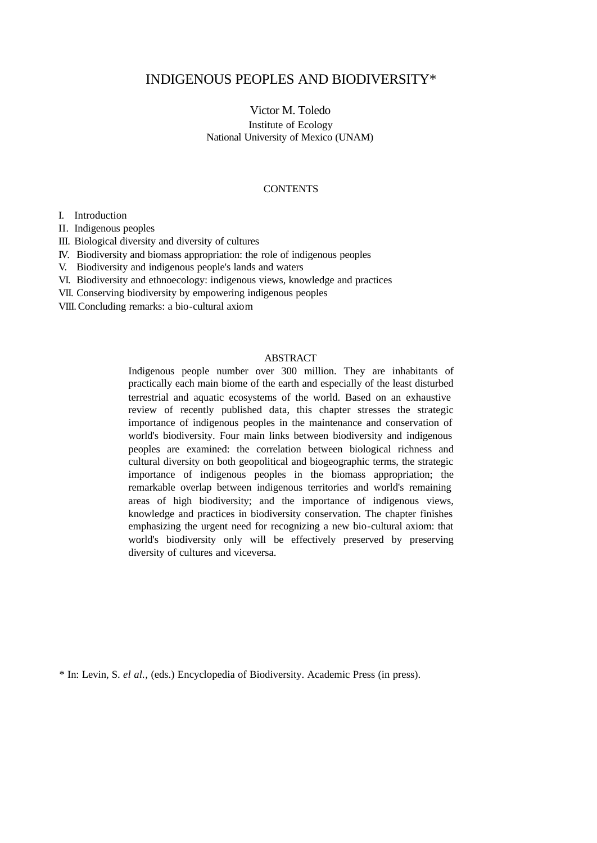# INDIGENOUS PEOPLES AND BIODIVERSITY\*

# Victor M. Toledo Institute of Ecology National University of Mexico (UNAM)

#### **CONTENTS**

### I. Introduction

- II. Indigenous peoples
- III. Biological diversity and diversity of cultures
- IV. Biodiversity and biomass appropriation: the role of indigenous peoples
- V. Biodiversity and indigenous people's lands and waters
- VI. Biodiversity and ethnoecology: indigenous views, knowledge and practices
- VII. Conserving biodiversity by empowering indigenous peoples
- VIII. Concluding remarks: a bio-cultural axiom

## ABSTRACT

Indigenous people number over 300 million. They are inhabitants of practically each main biome of the earth and especially of the least disturbed terrestrial and aquatic ecosystems of the world. Based on an exhaustive review of recently published data, this chapter stresses the strategic importance of indigenous peoples in the maintenance and conservation of world's biodiversity. Four main links between biodiversity and indigenous peoples are examined: the correlation between biological richness and cultural diversity on both geopolitical and biogeographic terms, the strategic importance of indigenous peoples in the biomass appropriation; the remarkable overlap between indigenous territories and world's remaining areas of high biodiversity; and the importance of indigenous views, knowledge and practices in biodiversity conservation. The chapter finishes emphasizing the urgent need for recognizing a new bio-cultural axiom: that world's biodiversity only will be effectively preserved by preserving diversity of cultures and viceversa.

\* In: Levin, S. *el al.,* (eds.) Encyclopedia of Biodiversity. Academic Press (in press).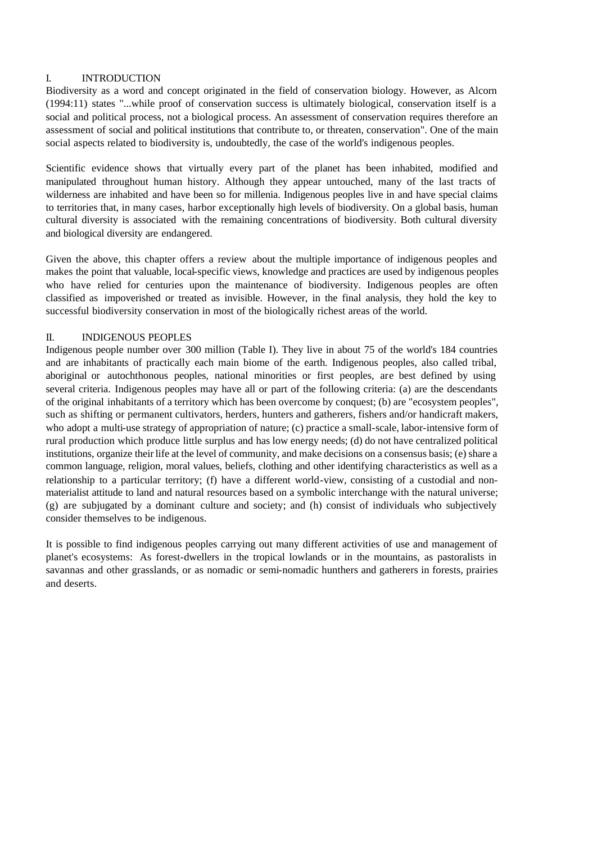#### I. INTRODUCTION

Biodiversity as a word and concept originated in the field of conservation biology. However, as Alcorn (1994:11) states "...while proof of conservation success is ultimately biological, conservation itself is a social and political process, not a biological process. An assessment of conservation requires therefore an assessment of social and political institutions that contribute to, or threaten, conservation". One of the main social aspects related to biodiversity is, undoubtedly, the case of the world's indigenous peoples.

Scientific evidence shows that virtually every part of the planet has been inhabited, modified and manipulated throughout human history. Although they appear untouched, many of the last tracts of wilderness are inhabited and have been so for millenia. Indigenous peoples live in and have special claims to territories that, in many cases, harbor exceptionally high levels of biodiversity. On a global basis, human cultural diversity is associated with the remaining concentrations of biodiversity. Both cultural diversity and biological diversity are endangered.

Given the above, this chapter offers a review about the multiple importance of indigenous peoples and makes the point that valuable, local-specific views, knowledge and practices are used by indigenous peoples who have relied for centuries upon the maintenance of biodiversity. Indigenous peoples are often classified as impoverished or treated as invisible. However, in the final analysis, they hold the key to successful biodiversity conservation in most of the biologically richest areas of the world.

#### II. INDIGENOUS PEOPLES

Indigenous people number over 300 million (Table I). They live in about 75 of the world's 184 countries and are inhabitants of practically each main biome of the earth. Indigenous peoples, also called tribal, aboriginal or autochthonous peoples, national minorities or first peoples, are best defined by using several criteria. Indigenous peoples may have all or part of the following criteria: (a) are the descendants of the original inhabitants of a territory which has been overcome by conquest; (b) are "ecosystem peoples", such as shifting or permanent cultivators, herders, hunters and gatherers, fishers and/or handicraft makers, who adopt a multi-use strategy of appropriation of nature; (c) practice a small-scale, labor-intensive form of rural production which produce little surplus and has low energy needs; (d) do not have centralized political institutions, organize their life at the level of community, and make decisions on a consensus basis; (e) share a common language, religion, moral values, beliefs, clothing and other identifying characteristics as well as a relationship to a particular territory; (f) have a different world-view, consisting of a custodial and nonmaterialist attitude to land and natural resources based on a symbolic interchange with the natural universe; (g) are subjugated by a dominant culture and society; and (h) consist of individuals who subjectively consider themselves to be indigenous.

It is possible to find indigenous peoples carrying out many different activities of use and management of planet's ecosystems: As forest-dwellers in the tropical lowlands or in the mountains, as pastoralists in savannas and other grasslands, or as nomadic or semi-nomadic hunthers and gatherers in forests, prairies and deserts.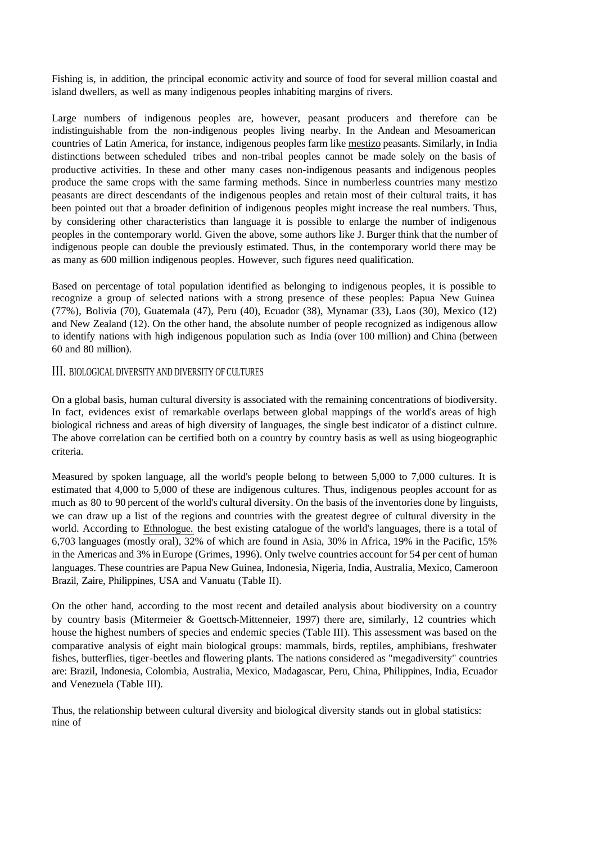Fishing is, in addition, the principal economic activity and source of food for several million coastal and island dwellers, as well as many indigenous peoples inhabiting margins of rivers.

Large numbers of indigenous peoples are, however, peasant producers and therefore can be indistinguishable from the non-indigenous peoples living nearby. In the Andean and Mesoamerican countries of Latin America, for instance, indigenous peoples farm like mestizo peasants. Similarly, in India distinctions between scheduled tribes and non-tribal peoples cannot be made solely on the basis of productive activities. In these and other many cases non-indigenous peasants and indigenous peoples produce the same crops with the same farming methods. Since in numberless countries many mestizo peasants are direct descendants of the indigenous peoples and retain most of their cultural traits, it has been pointed out that a broader definition of indigenous peoples might increase the real numbers. Thus, by considering other characteristics than language it is possible to enlarge the number of indigenous peoples in the contemporary world. Given the above, some authors like J. Burger think that the number of indigenous people can double the previously estimated. Thus, in the contemporary world there may be as many as 600 million indigenous peoples. However, such figures need qualification.

Based on percentage of total population identified as belonging to indigenous peoples, it is possible to recognize a group of selected nations with a strong presence of these peoples: Papua New Guinea (77%), Bolivia (70), Guatemala (47), Peru (40), Ecuador (38), Mynamar (33), Laos (30), Mexico (12) and New Zealand (12). On the other hand, the absolute number of people recognized as indigenous allow to identify nations with high indigenous population such as India (over 100 million) and China (between 60 and 80 million).

#### III. BIOLOGICAL DIVERSITY AND DIVERSITY OF CULTURES

On a global basis, human cultural diversity is associated with the remaining concentrations of biodiversity. In fact, evidences exist of remarkable overlaps between global mappings of the world's areas of high biological richness and areas of high diversity of languages, the single best indicator of a distinct culture. The above correlation can be certified both on a country by country basis as well as using biogeographic criteria.

Measured by spoken language, all the world's people belong to between 5,000 to 7,000 cultures. It is estimated that 4,000 to 5,000 of these are indigenous cultures. Thus, indigenous peoples account for as much as 80 to 90 percent of the world's cultural diversity. On the basis of the inventories done by linguists, we can draw up a list of the regions and countries with the greatest degree of cultural diversity in the world. According to Ethnologue. the best existing catalogue of the world's languages, there is a total of 6,703 languages (mostly oral), 32% of which are found in Asia, 30% in Africa, 19% in the Pacific, 15% in the Americas and 3% in Europe (Grimes, 1996). Only twelve countries account for 54 per cent of human languages. These countries are Papua New Guinea, Indonesia, Nigeria, India, Australia, Mexico, Cameroon Brazil, Zaire, Philippines, USA and Vanuatu (Table II).

On the other hand, according to the most recent and detailed analysis about biodiversity on a country by country basis (Mitermeier & Goettsch-Mittenneier, 1997) there are, similarly, 12 countries which house the highest numbers of species and endemic species (Table III). This assessment was based on the comparative analysis of eight main biological groups: mammals, birds, reptiles, amphibians, freshwater fishes, butterflies, tiger-beetles and flowering plants. The nations considered as "megadiversity" countries are: Brazil, Indonesia, Colombia, Australia, Mexico, Madagascar, Peru, China, Philippines, India, Ecuador and Venezuela (Table III).

Thus, the relationship between cultural diversity and biological diversity stands out in global statistics: nine of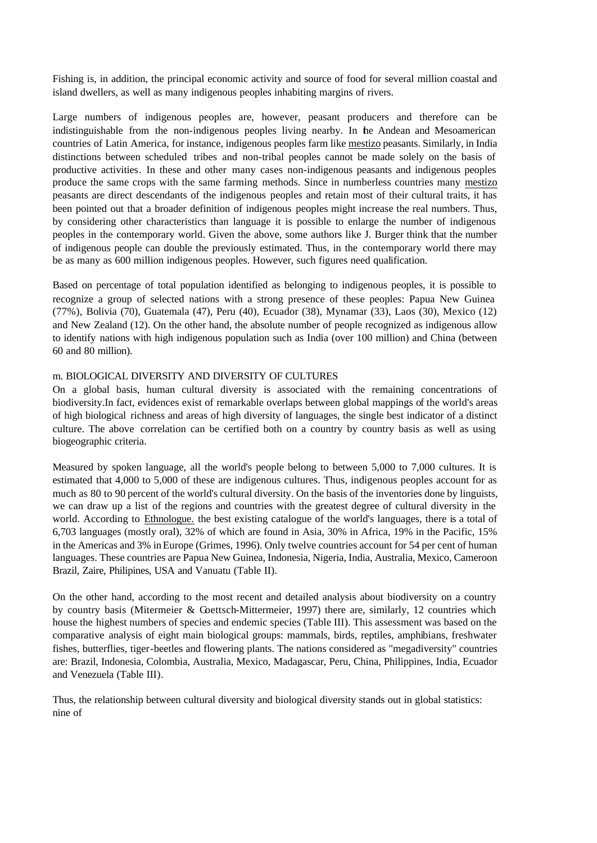Fishing is, in addition, the principal economic activity and source of food for several million coastal and island dwellers, as well as many indigenous peoples inhabiting margins of rivers.

Large numbers of indigenous peoples are, however, peasant producers and therefore can be indistinguishable from the non-indigenous peoples living nearby. In the Andean and Mesoamerican countries of Latin America, for instance, indigenous peoples farm like mestizo peasants. Similarly, in India distinctions between scheduled tribes and non-tribal peoples cannot be made solely on the basis of productive activities. In these and other many cases non-indigenous peasants and indigenous peoples produce the same crops with the same farming methods. Since in numberless countries many mestizo peasants are direct descendants of the indigenous peoples and retain most of their cultural traits, it has been pointed out that a broader definition of indigenous peoples might increase the real numbers. Thus, by considering other characteristics than language it is possible to enlarge the number of indigenous peoples in the contemporary world. Given the above, some authors like J. Burger think that the number of indigenous people can double the previously estimated. Thus, in the contemporary world there may be as many as 600 million indigenous peoples. However, such figures need qualification.

Based on percentage of total population identified as belonging to indigenous peoples, it is possible to recognize a group of selected nations with a strong presence of these peoples: Papua New Guinea (77%), Bolivia (70), Guatemala (47), Peru (40), Ecuador (38), Mynamar (33), Laos (30), Mexico (12) and New Zealand (12). On the other hand, the absolute number of people recognized as indigenous allow to identify nations with high indigenous population such as India (over 100 million) and China (between 60 and 80 million).

#### m. BIOLOGICAL DIVERSITY AND DIVERSITY OF CULTURES

On a global basis, human cultural diversity is associated with the remaining concentrations of biodiversity.In fact, evidences exist of remarkable overlaps between global mappings of the world's areas of high biological richness and areas of high diversity of languages, the single best indicator of a distinct culture. The above correlation can be certified both on a country by country basis as well as using biogeographic criteria.

Measured by spoken language, all the world's people belong to between 5,000 to 7,000 cultures. It is estimated that 4,000 to 5,000 of these are indigenous cultures. Thus, indigenous peoples account for as much as 80 to 90 percent of the world's cultural diversity. On the basis of the inventories done by linguists, we can draw up a list of the regions and countries with the greatest degree of cultural diversity in the world. According to Ethnologue. the best existing catalogue of the world's languages, there is a total of 6,703 languages (mostly oral), 32% of which are found in Asia, 30% in Africa, 19% in the Pacific, 15% in the Americas and 3% in Europe (Grimes, 1996). Only twelve countries account for 54 per cent of human languages. These countries are Papua New Guinea, Indonesia, Nigeria, India, Australia, Mexico, Cameroon Brazil, Zaire, Philipines, USA and Vanuatu (Table II).

On the other hand, according to the most recent and detailed analysis about biodiversity on a country by country basis (Mitermeier & Goettsch-Mittermeier, 1997) there are, similarly, 12 countries which house the highest numbers of species and endemic species (Table III). This assessment was based on the comparative analysis of eight main biological groups: mammals, birds, reptiles, amphibians, freshwater fishes, butterflies, tiger-beetles and flowering plants. The nations considered as "megadiversity" countries are: Brazil, Indonesia, Colombia, Australia, Mexico, Madagascar, Peru, China, Philippines, India, Ecuador and Venezuela (Table III).

Thus, the relationship between cultural diversity and biological diversity stands out in global statistics: nine of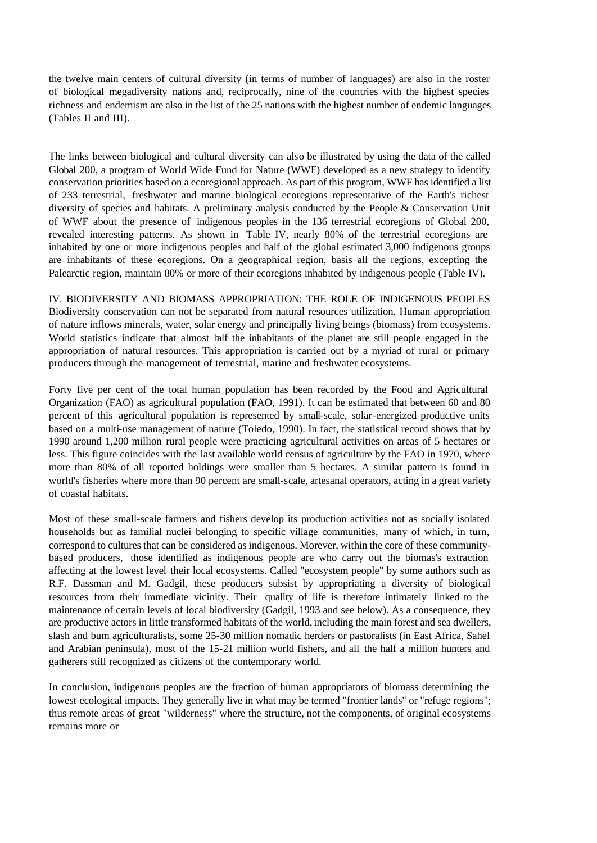the twelve main centers of cultural diversity (in terms of number of languages) are also in the roster of biological megadiversity nations and, reciprocally, nine of the countries with the highest species richness and endemism are also in the list of the 25 nations with the highest number of endemic languages (Tables II and III).

The links between biological and cultural diversity can also be illustrated by using the data of the called Global 200, a program of World Wide Fund for Nature (WWF) developed as a new strategy to identify conservation priorities based on a ecoregional approach. As part of this program, WWF has identified a list of 233 terrestrial, freshwater and marine biological ecoregions representative of the Earth's richest diversity of species and habitats. A preliminary analysis conducted by the People & Conservation Unit of WWF about the presence of indigenous peoples in the 136 terrestrial ecoregions of Global 200, revealed interesting patterns. As shown in Table IV, nearly 80% of the terrestrial ecoregions are inhabited by one or more indigenous peoples and half of the global estimated 3,000 indigenous groups are inhabitants of these ecoregions. On a geographical region, basis all the regions, excepting the Palearctic region, maintain 80% or more of their ecoregions inhabited by indigenous people (Table IV).

IV. BIODIVERSITY AND BIOMASS APPROPRIATION: THE ROLE OF INDIGENOUS PEOPLES Biodiversity conservation can not be separated from natural resources utilization. Human appropriation of nature inflows minerals, water, solar energy and principally living beings (biomass) from ecosystems. World statistics indicate that almost half the inhabitants of the planet are still people engaged in the appropriation of natural resources. This appropriation is carried out by a myriad of rural or primary producers through the management of terrestrial, marine and freshwater ecosystems.

Forty five per cent of the total human population has been recorded by the Food and Agricultural Organization (FAO) as agricultural population (FAO, 1991). It can be estimated that between 60 and 80 percent of this agricultural population is represented by small-scale, solar-energized productive units based on a multi-use management of nature (Toledo, 1990). In fact, the statistical record shows that by 1990 around 1,200 million rural people were practicing agricultural activities on areas of 5 hectares or less. This figure coincides with the last available world census of agriculture by the FAO in 1970, where more than 80% of all reported holdings were smaller than 5 hectares. A similar pattern is found in world's fisheries where more than 90 percent are small-scale, artesanal operators, acting in a great variety of coastal habitats.

Most of these small-scale farmers and fishers develop its production activities not as socially isolated households but as familial nuclei belonging to specific village communities, many of which, in turn, correspond to cultures that can be considered as indigenous. Morever, within the core of these communitybased producers, those identified as indigenous people are who carry out the biomas's extraction affecting at the lowest level their local ecosystems. Called "ecosystem people" by some authors such as R.F. Dassman and M. Gadgil, these producers subsist by appropriating a diversity of biological resources from their immediate vicinity. Their quality of life is therefore intimately linked to the maintenance of certain levels of local biodiversity (Gadgil, 1993 and see below). As a consequence, they are productive actors in little transformed habitats of the world, including the main forest and sea dwellers, slash and bum agriculturalists, some 25-30 million nomadic herders or pastoralists (in East Africa, Sahel and Arabian peninsula), most of the 15-21 million world fishers, and all the half a million hunters and gatherers still recognized as citizens of the contemporary world.

In conclusion, indigenous peoples are the fraction of human appropriators of biomass determining the lowest ecological impacts. They generally live in what may be termed "frontier lands" or "refuge regions"; thus remote areas of great "wilderness" where the structure, not the components, of original ecosystems remains more or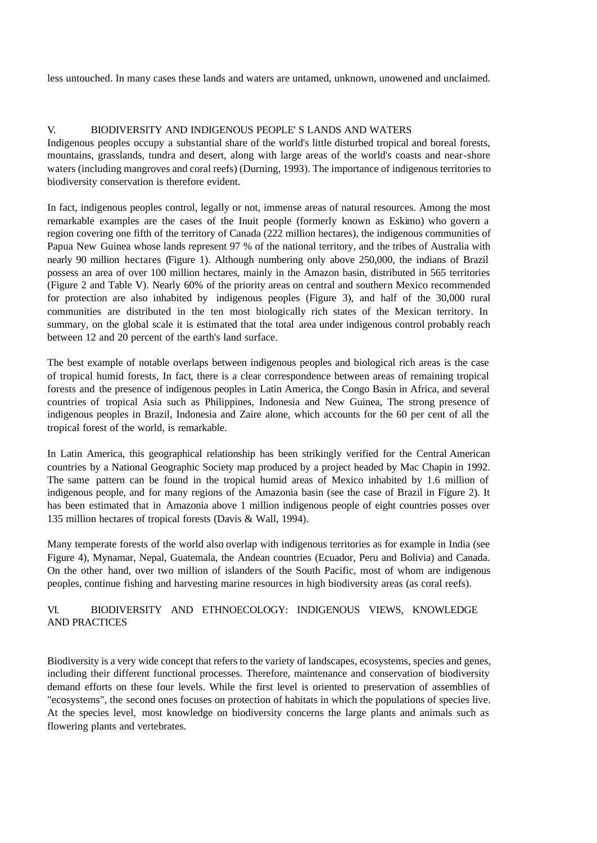less untouched. In many cases these lands and waters are untamed, unknown, unowened and unclaimed.

### V. BIODIVERSITY AND INDIGENOUS PEOPLE' S LANDS AND WATERS

Indigenous peoples occupy a substantial share of the world's little disturbed tropical and boreal forests, mountains, grasslands, tundra and desert, along with large areas of the world's coasts and near-shore waters (including mangroves and coral reefs) (Durning, 1993). The importance of indigenous territories to biodiversity conservation is therefore evident.

In fact, indigenous peoples control, legally or not, immense areas of natural resources. Among the most remarkable examples are the cases of the Inuit people (formerly known as Eskimo) who govern a region covering one fifth of the territory of Canada (222 million hectares), the indigenous communities of Papua New Guinea whose lands represent 97 % of the national territory, and the tribes of Australia with nearly 90 million hectares (Figure 1). Although numbering only above 250,000, the indians of Brazil possess an area of over 100 million hectares, mainly in the Amazon basin, distributed in 565 territories (Figure 2 and Table V). Nearly 60% of the priority areas on central and southern Mexico recommended for protection are also inhabited by indigenous peoples (Figure 3), and half of the 30,000 rural communities are distributed in the ten most biologically rich states of the Mexican territory. In summary, on the global scale it is estimated that the total area under indigenous control probably reach between 12 and 20 percent of the earth's land surface.

The best example of notable overlaps between indigenous peoples and biological rich areas is the case of tropical humid forests, In fact, there is a clear correspondence between areas of remaining tropical forests and the presence of indigenous peoples in Latin America, the Congo Basin in Africa, and several countries of tropical Asia such as Philippines, Indonesia and New Guinea, The strong presence of indigenous peoples in Brazil, Indonesia and Zaire alone, which accounts for the 60 per cent of all the tropical forest of the world, is remarkable.

In Latin America, this geographical relationship has been strikingly verified for the Central American countries by a National Geographic Society map produced by a project headed by Mac Chapin in 1992. The same pattern can be found in the tropical humid areas of Mexico inhabited by 1.6 million of indigenous people, and for many regions of the Amazonia basin (see the case of Brazil in Figure 2). It has been estimated that in Amazonia above 1 million indigenous people of eight countries posses over 135 million hectares of tropical forests (Davis & Wall, 1994).

Many temperate forests of the world also overlap with indigenous territories as for example in India (see Figure 4), Mynamar, Nepal, Guatemala, the Andean countries (Ecuador, Peru and Bolivia) and Canada. On the other hand, over two million of islanders of the South Pacific, most of whom are indigenous peoples, continue fishing and harvesting marine resources in high biodiversity areas (as coral reefs).

## VI. BIODIVERSITY AND ETHNOECOLOGY: INDIGENOUS VIEWS, KNOWLEDGE AND PRACTICES

Biodiversity is a very wide concept that refers to the variety of landscapes, ecosystems, species and genes, including their different functional processes. Therefore, maintenance and conservation of biodiversity demand efforts on these four levels. While the first level is oriented to preservation of assemblies of "ecosystems", the second ones focuses on protection of habitats in which the populations of species live. At the species level, most knowledge on biodiversity concerns the large plants and animals such as flowering plants and vertebrates.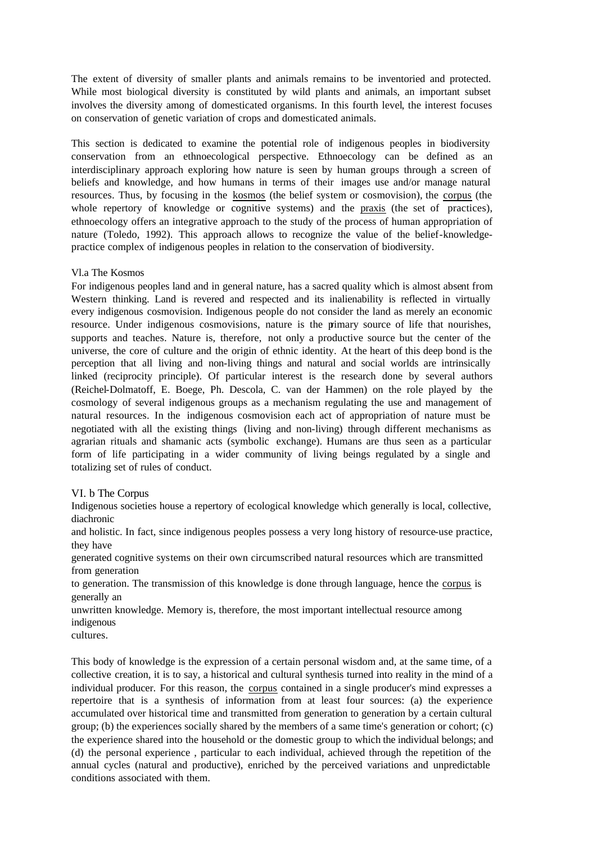The extent of diversity of smaller plants and animals remains to be inventoried and protected. While most biological diversity is constituted by wild plants and animals, an important subset involves the diversity among of domesticated organisms. In this fourth level, the interest focuses on conservation of genetic variation of crops and domesticated animals.

This section is dedicated to examine the potential role of indigenous peoples in biodiversity conservation from an ethnoecological perspective. Ethnoecology can be defined as an interdisciplinary approach exploring how nature is seen by human groups through a screen of beliefs and knowledge, and how humans in terms of their images use and/or manage natural resources. Thus, by focusing in the kosmos (the belief system or cosmovision), the corpus (the whole repertory of knowledge or cognitive systems) and the praxis (the set of practices), ethnoecology offers an integrative approach to the study of the process of human appropriation of nature (Toledo, 1992). This approach allows to recognize the value of the belief-knowledgepractice complex of indigenous peoples in relation to the conservation of biodiversity.

#### Vl.a The Kosmos

For indigenous peoples land and in general nature, has a sacred quality which is almost absent from Western thinking. Land is revered and respected and its inalienability is reflected in virtually every indigenous cosmovision. Indigenous people do not consider the land as merely an economic resource. Under indigenous cosmovisions, nature is the primary source of life that nourishes, supports and teaches. Nature is, therefore, not only a productive source but the center of the universe, the core of culture and the origin of ethnic identity. At the heart of this deep bond is the perception that all living and non-living things and natural and social worlds are intrinsically linked (reciprocity principle). Of particular interest is the research done by several authors (Reichel-Dolmatoff, E. Boege, Ph. Descola, C. van der Hammen) on the role played by the cosmology of several indigenous groups as a mechanism regulating the use and management of natural resources. In the indigenous cosmovision each act of appropriation of nature must be negotiated with all the existing things (living and non-living) through different mechanisms as agrarian rituals and shamanic acts (symbolic exchange). Humans are thus seen as a particular form of life participating in a wider community of living beings regulated by a single and totalizing set of rules of conduct.

#### VI. b The Corpus

Indigenous societies house a repertory of ecological knowledge which generally is local, collective, diachronic

and holistic. In fact, since indigenous peoples possess a very long history of resource-use practice, they have

generated cognitive systems on their own circumscribed natural resources which are transmitted from generation

to generation. The transmission of this knowledge is done through language, hence the corpus is generally an

unwritten knowledge. Memory is, therefore, the most important intellectual resource among indigenous

cultures.

This body of knowledge is the expression of a certain personal wisdom and, at the same time, of a collective creation, it is to say, a historical and cultural synthesis turned into reality in the mind of a individual producer. For this reason, the corpus contained in a single producer's mind expresses a repertoire that is a synthesis of information from at least four sources: (a) the experience accumulated over historical time and transmitted from generation to generation by a certain cultural group; (b) the experiences socially shared by the members of a same time's generation or cohort; (c) the experience shared into the household or the domestic group to which the individual belongs; and (d) the personal experience , particular to each individual, achieved through the repetition of the annual cycles (natural and productive), enriched by the perceived variations and unpredictable conditions associated with them.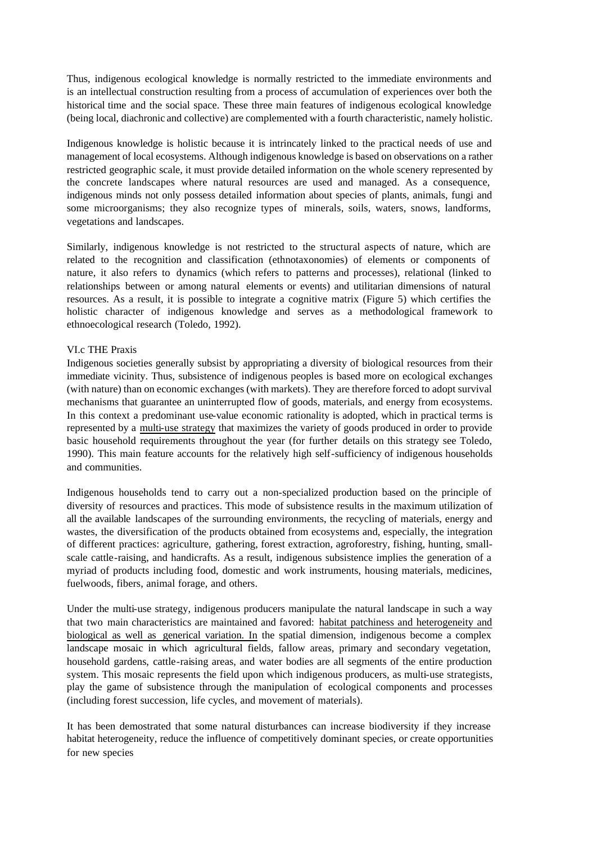Thus, indigenous ecological knowledge is normally restricted to the immediate environments and is an intellectual construction resulting from a process of accumulation of experiences over both the historical time and the social space. These three main features of indigenous ecological knowledge (being local, diachronic and collective) are complemented with a fourth characteristic, namely holistic.

Indigenous knowledge is holistic because it is intrincately linked to the practical needs of use and management of local ecosystems. Although indigenous knowledge is based on observations on a rather restricted geographic scale, it must provide detailed information on the whole scenery represented by the concrete landscapes where natural resources are used and managed. As a consequence, indigenous minds not only possess detailed information about species of plants, animals, fungi and some microorganisms; they also recognize types of minerals, soils, waters, snows, landforms, vegetations and landscapes.

Similarly, indigenous knowledge is not restricted to the structural aspects of nature, which are related to the recognition and classification (ethnotaxonomies) of elements or components of nature, it also refers to dynamics (which refers to patterns and processes), relational (linked to relationships between or among natural elements or events) and utilitarian dimensions of natural resources. As a result, it is possible to integrate a cognitive matrix (Figure 5) which certifies the holistic character of indigenous knowledge and serves as a methodological framework to ethnoecological research (Toledo, 1992).

#### VI.c THE Praxis

Indigenous societies generally subsist by appropriating a diversity of biological resources from their immediate vicinity. Thus, subsistence of indigenous peoples is based more on ecological exchanges (with nature) than on economic exchanges (with markets). They are therefore forced to adopt survival mechanisms that guarantee an uninterrupted flow of goods, materials, and energy from ecosystems. In this context a predominant use-value economic rationality is adopted, which in practical terms is represented by a multi-use strategy that maximizes the variety of goods produced in order to provide basic household requirements throughout the year (for further details on this strategy see Toledo, 1990). This main feature accounts for the relatively high self-sufficiency of indigenous households and communities.

Indigenous households tend to carry out a non-specialized production based on the principle of diversity of resources and practices. This mode of subsistence results in the maximum utilization of all the available landscapes of the surrounding environments, the recycling of materials, energy and wastes, the diversification of the products obtained from ecosystems and, especially, the integration of different practices: agriculture, gathering, forest extraction, agroforestry, fishing, hunting, smallscale cattle-raising, and handicrafts. As a result, indigenous subsistence implies the generation of a myriad of products including food, domestic and work instruments, housing materials, medicines, fuelwoods, fibers, animal forage, and others.

Under the multi-use strategy, indigenous producers manipulate the natural landscape in such a way that two main characteristics are maintained and favored: habitat patchiness and heterogeneity and biological as well as generical variation. In the spatial dimension, indigenous become a complex landscape mosaic in which agricultural fields, fallow areas, primary and secondary vegetation, household gardens, cattle-raising areas, and water bodies are all segments of the entire production system. This mosaic represents the field upon which indigenous producers, as multi-use strategists, play the game of subsistence through the manipulation of ecological components and processes (including forest succession, life cycles, and movement of materials).

It has been demostrated that some natural disturbances can increase biodiversity if they increase habitat heterogeneity, reduce the influence of competitively dominant species, or create opportunities for new species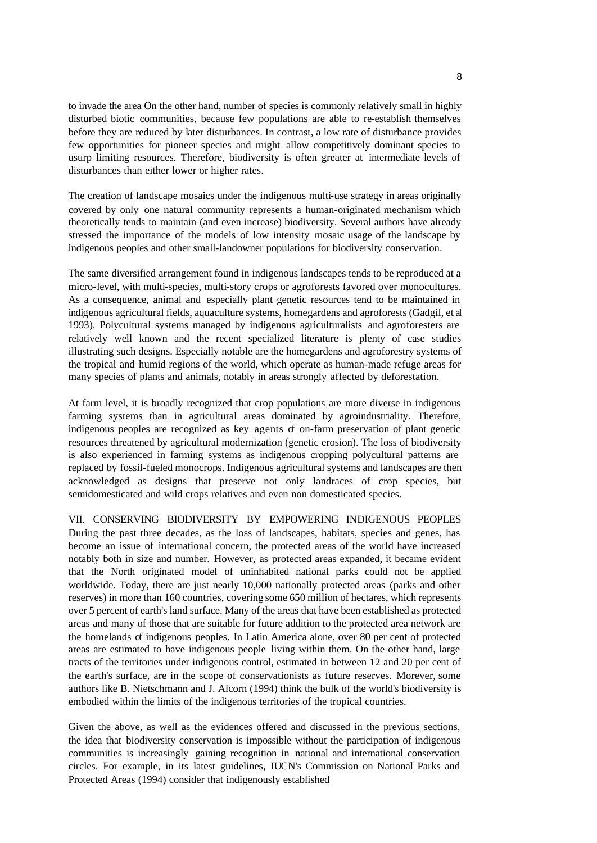to invade the area On the other hand, number of species is commonly relatively small in highly disturbed biotic communities, because few populations are able to re-establish themselves before they are reduced by later disturbances. In contrast, a low rate of disturbance provides few opportunities for pioneer species and might allow competitively dominant species to usurp limiting resources. Therefore, biodiversity is often greater at intermediate levels of disturbances than either lower or higher rates.

The creation of landscape mosaics under the indigenous multi-use strategy in areas originally covered by only one natural community represents a human-originated mechanism which theoretically tends to maintain (and even increase) biodiversity. Several authors have already stressed the importance of the models of low intensity mosaic usage of the landscape by indigenous peoples and other small-landowner populations for biodiversity conservation.

The same diversified arrangement found in indigenous landscapes tends to be reproduced at a micro-level, with multi-species, multi-story crops or agroforests favored over monocultures. As a consequence, animal and especially plant genetic resources tend to be maintained in indigenous agricultural fields, aquaculture systems, homegardens and agroforests (Gadgil, et al 1993). Polycultural systems managed by indigenous agriculturalists and agroforesters are relatively well known and the recent specialized literature is plenty of case studies illustrating such designs. Especially notable are the homegardens and agroforestry systems of the tropical and humid regions of the world, which operate as human-made refuge areas for many species of plants and animals, notably in areas strongly affected by deforestation.

At farm level, it is broadly recognized that crop populations are more diverse in indigenous farming systems than in agricultural areas dominated by agroindustriality. Therefore, indigenous peoples are recognized as key agents of on-farm preservation of plant genetic resources threatened by agricultural modernization (genetic erosion). The loss of biodiversity is also experienced in farming systems as indigenous cropping polycultural patterns are replaced by fossil-fueled monocrops. Indigenous agricultural systems and landscapes are then acknowledged as designs that preserve not only landraces of crop species, but semidomesticated and wild crops relatives and even non domesticated species.

VII. CONSERVING BIODIVERSITY BY EMPOWERING INDIGENOUS PEOPLES During the past three decades, as the loss of landscapes, habitats, species and genes, has become an issue of international concern, the protected areas of the world have increased notably both in size and number. However, as protected areas expanded, it became evident that the North originated model of uninhabited national parks could not be applied worldwide. Today, there are just nearly 10,000 nationally protected areas (parks and other reserves) in more than 160 countries, covering some 650 million of hectares, which represents over 5 percent of earth's land surface. Many of the areas that have been established as protected areas and many of those that are suitable for future addition to the protected area network are the homelands of indigenous peoples. In Latin America alone, over 80 per cent of protected areas are estimated to have indigenous people living within them. On the other hand, large tracts of the territories under indigenous control, estimated in between 12 and 20 per cent of the earth's surface, are in the scope of conservationists as future reserves. Morever, some authors like B. Nietschmann and J. Alcorn (1994) think the bulk of the world's biodiversity is embodied within the limits of the indigenous territories of the tropical countries.

Given the above, as well as the evidences offered and discussed in the previous sections, the idea that biodiversity conservation is impossible without the participation of indigenous communities is increasingly gaining recognition in national and international conservation circles. For example, in its latest guidelines, IUCN's Commission on National Parks and Protected Areas (1994) consider that indigenously established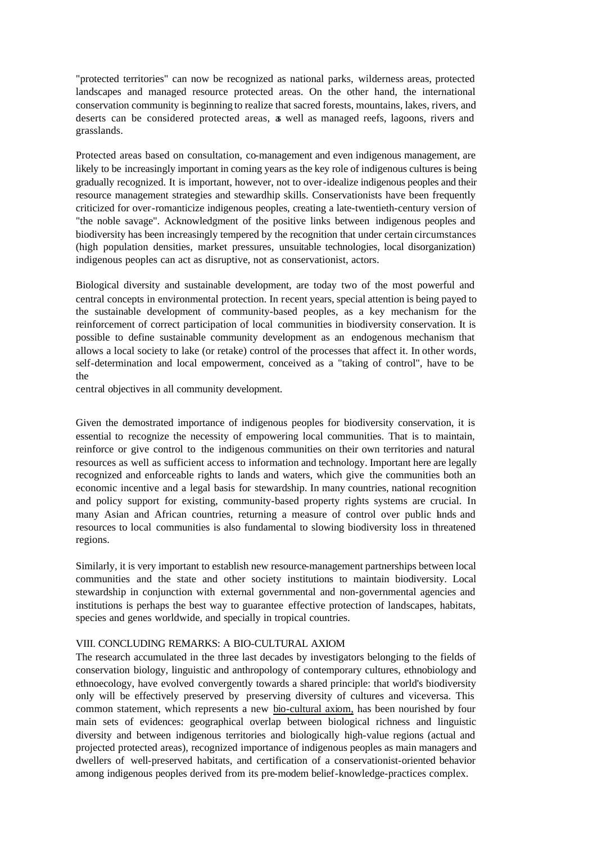"protected territories" can now be recognized as national parks, wilderness areas, protected landscapes and managed resource protected areas. On the other hand, the international conservation community is beginning to realize that sacred forests, mountains, lakes, rivers, and deserts can be considered protected areas, as well as managed reefs, lagoons, rivers and grasslands.

Protected areas based on consultation, co-management and even indigenous management, are likely to be increasingly important in coming years as the key role of indigenous cultures is being gradually recognized. It is important, however, not to over-idealize indigenous peoples and their resource management strategies and stewardhip skills. Conservationists have been frequently criticized for over-romanticize indigenous peoples, creating a late-twentieth-century version of "the noble savage". Acknowledgment of the positive links between indigenous peoples and biodiversity has been increasingly tempered by the recognition that under certain circumstances (high population densities, market pressures, unsuitable technologies, local disorganization) indigenous peoples can act as disruptive, not as conservationist, actors.

Biological diversity and sustainable development, are today two of the most powerful and central concepts in environmental protection. In recent years, special attention is being payed to the sustainable development of community-based peoples, as a key mechanism for the reinforcement of correct participation of local communities in biodiversity conservation. It is possible to define sustainable community development as an endogenous mechanism that allows a local society to lake (or retake) control of the processes that affect it. In other words, self-determination and local empowerment, conceived as a "taking of control", have to be the

central objectives in all community development.

Given the demostrated importance of indigenous peoples for biodiversity conservation, it is essential to recognize the necessity of empowering local communities. That is to maintain, reinforce or give control to the indigenous communities on their own territories and natural resources as well as sufficient access to information and technology. Important here are legally recognized and enforceable rights to lands and waters, which give the communities both an economic incentive and a legal basis for stewardship. In many countries, national recognition and policy support for existing, community-based property rights systems are crucial. In many Asian and African countries, returning a measure of control over public lands and resources to local communities is also fundamental to slowing biodiversity loss in threatened regions.

Similarly, it is very important to establish new resource-management partnerships between local communities and the state and other society institutions to maintain biodiversity. Local stewardship in conjunction with external governmental and non-governmental agencies and institutions is perhaps the best way to guarantee effective protection of landscapes, habitats, species and genes worldwide, and specially in tropical countries.

#### VIII. CONCLUDING REMARKS: A BIO-CULTURAL AXIOM

The research accumulated in the three last decades by investigators belonging to the fields of conservation biology, linguistic and anthropology of contemporary cultures, ethnobiology and ethnoecology, have evolved convergently towards a shared principle: that world's biodiversity only will be effectively preserved by preserving diversity of cultures and viceversa. This common statement, which represents a new bio-cultural axiom, has been nourished by four main sets of evidences: geographical overlap between biological richness and linguistic diversity and between indigenous territories and biologically high-value regions (actual and projected protected areas), recognized importance of indigenous peoples as main managers and dwellers of well-preserved habitats, and certification of a conservationist-oriented behavior among indigenous peoples derived from its pre-modem belief-knowledge-practices complex.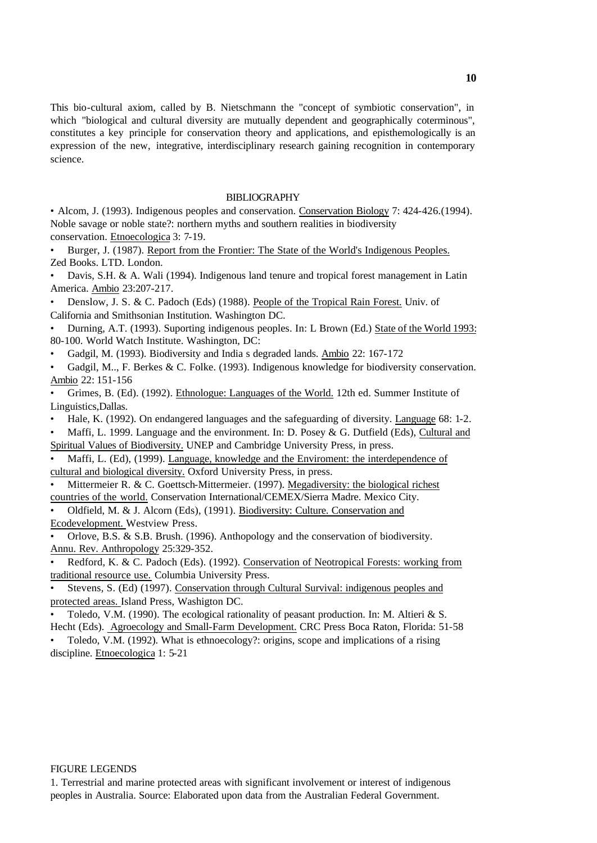This bio-cultural axiom, called by B. Nietschmann the "concept of symbiotic conservation", in which "biological and cultural diversity are mutually dependent and geographically coterminous", constitutes a key principle for conservation theory and applications, and episthemologically is an expression of the new, integrative, interdisciplinary research gaining recognition in contemporary science.

#### BIBLIOGRAPHY

• Alcom, J. (1993). Indigenous peoples and conservation. Conservation Biology 7: 424-426.(1994). Noble savage or noble state?: northern myths and southern realities in biodiversity conservation. Etnoecologica 3: 7-19.

• Burger, J. (1987). Report from the Frontier: The State of the World's Indigenous Peoples. Zed Books. LTD. London.

• Davis, S.H. & A. Wali (1994). Indigenous land tenure and tropical forest management in Latin America. Ambio 23:207-217.

• Denslow, J. S. & C. Padoch (Eds) (1988). People of the Tropical Rain Forest. Univ. of California and Smithsonian Institution. Washington DC.

• Durning, A.T. (1993). Suporting indigenous peoples. In: L Brown (Ed.) State of the World 1993: 80-100. World Watch Institute. Washington, DC:

• Gadgil, M. (1993). Biodiversity and India s degraded lands. Ambio 22: 167-172

Gadgil, M.., F. Berkes & C. Folke. (1993). Indigenous knowledge for biodiversity conservation. Ambio 22: 151-156

• Grimes, B. (Ed). (1992). Ethnologue: Languages of the World. 12th ed. Summer Institute of Linguistics,Dallas.

• Hale, K. (1992). On endangered languages and the safeguarding of diversity. Language 68: 1-2.

• Maffi, L. 1999. Language and the environment. In: D. Posey & G. Dutfield (Eds), Cultural and Spiritual Values of Biodiversity. UNEP and Cambridge University Press, in press.

Maffi, L. (Ed), (1999). Language, knowledge and the Enviroment: the interdependence of cultural and biological diversity. Oxford University Press, in press.

• Mittermeier R. & C. Goettsch-Mittermeier. (1997). Megadiversity: the biological richest countries of the world. Conservation International/CEMEX/Sierra Madre. Mexico City.

• Oldfield, M. & J. Alcorn (Eds), (1991). Biodiversity: Culture. Conservation and Ecodevelopment. Westview Press.

• Orlove, B.S. & S.B. Brush. (1996). Anthopology and the conservation of biodiversity. Annu. Rev. Anthropology 25:329-352.

• Redford, K. & C. Padoch (Eds). (1992). Conservation of Neotropical Forests: working from traditional resource use. Columbia University Press.

• Stevens, S. (Ed) (1997). Conservation through Cultural Survival: indigenous peoples and protected areas. Island Press, Washigton DC.

• Toledo, V.M. (1990). The ecological rationality of peasant production. In: M. Altieri & S. Hecht (Eds). Agroecology and Small-Farm Development. CRC Press Boca Raton, Florida: 51-58

• Toledo, V.M. (1992). What is ethnoecology?: origins, scope and implications of a rising discipline. Etnoecologica 1: 5-21

#### FIGURE LEGENDS

1. Terrestrial and marine protected areas with significant involvement or interest of indigenous peoples in Australia. Source: Elaborated upon data from the Australian Federal Government.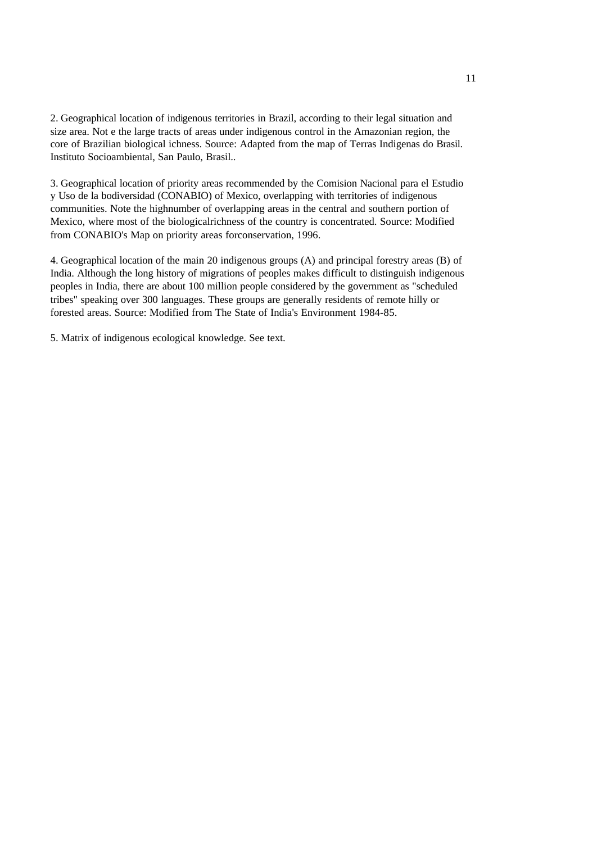2. Geographical location of indigenous territories in Brazil, according to their legal situation and size area. Not e the large tracts of areas under indigenous control in the Amazonian region, the core of Brazilian biological ichness. Source: Adapted from the map of Terras Indigenas do Brasil. Instituto Socioambiental, San Paulo, Brasil..

3. Geographical location of priority areas recommended by the Comision Nacional para el Estudio y Uso de la bodiversidad (CONABIO) of Mexico, overlapping with territories of indigenous communities. Note the highnumber of overlapping areas in the central and southern portion of Mexico, where most of the biologicalrichness of the country is concentrated. Source: Modified from CONABIO's Map on priority areas forconservation, 1996.

4. Geographical location of the main 20 indigenous groups (A) and principal forestry areas (B) of India. Although the long history of migrations of peoples makes difficult to distinguish indigenous peoples in India, there are about 100 million people considered by the government as "scheduled tribes" speaking over 300 languages. These groups are generally residents of remote hilly or forested areas. Source: Modified from The State of India's Environment 1984-85.

5. Matrix of indigenous ecological knowledge. See text.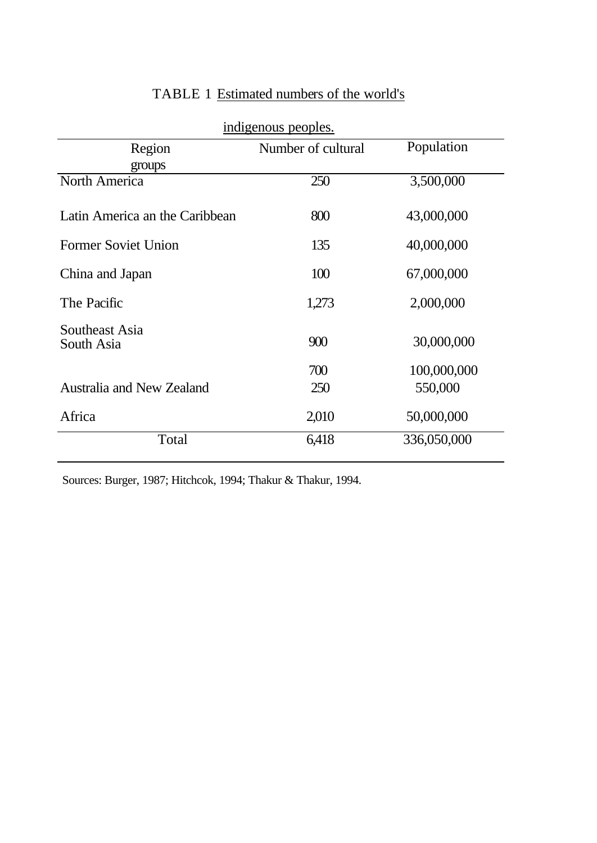| indigenous peoples.            |                    |             |  |  |  |
|--------------------------------|--------------------|-------------|--|--|--|
| Region<br>groups               | Number of cultural | Population  |  |  |  |
| North America                  | 250                | 3,500,000   |  |  |  |
| Latin America an the Caribbean | 800                | 43,000,000  |  |  |  |
| <b>Former Soviet Union</b>     | 135                | 40,000,000  |  |  |  |
| China and Japan                | 100                | 67,000,000  |  |  |  |
| The Pacific                    | 1,273              | 2,000,000   |  |  |  |
| Southeast Asia<br>South Asia   | 900                | 30,000,000  |  |  |  |
|                                | 700                | 100,000,000 |  |  |  |
| Australia and New Zealand      | 250                | 550,000     |  |  |  |
| Africa                         | 2,010              | 50,000,000  |  |  |  |
| Total                          | 6,418              | 336,050,000 |  |  |  |

# TABLE 1 Estimated numbers of the world's

Sources: Burger, 1987; Hitchcok, 1994; Thakur & Thakur, 1994.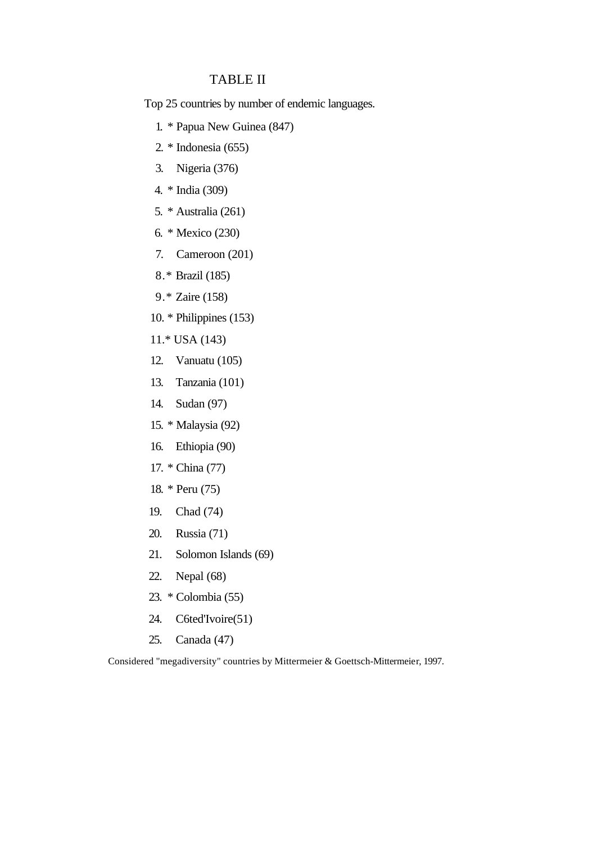# TABLE II

Top 25 countries by number of endemic languages.

- 1. \* Papua New Guinea (847)
- 2. \* Indonesia (655)
- 3. Nigeria (376)
- 4. \* India (309)
- 5. \* Australia (261)
- 6. \* Mexico (230)
- 7. Cameroon (201)
- 8.\* Brazil (185)
- 9.\* Zaire (158)
- 10. \* Philippines (153)
- 11.\* USA (143)
- 12. Vanuatu (105)
- 13. Tanzania (101)
- 14. Sudan (97)
- 15. \* Malaysia (92)
- 16. Ethiopia (90)
- 17. \* China (77)
- 18. \* Peru (75)
- 19. Chad (74)
- 20. Russia (71)
- 21. Solomon Islands (69)
- 22. Nepal (68)
- 23. \* Colombia (55)
- 24. C6ted'Ivoire(51)
- 25. Canada (47)

Considered "megadiversity" countries by Mittermeier & Goettsch-Mittermeier, 1997.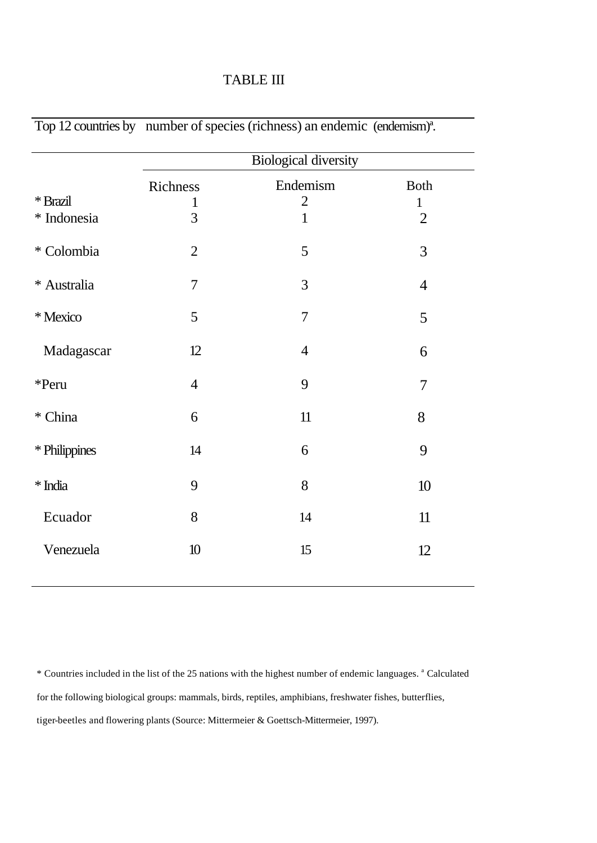# TABLE III

|               | <b>Biological diversity</b> |                |                |  |  |
|---------------|-----------------------------|----------------|----------------|--|--|
|               | Richness                    | Endemism       | <b>Both</b>    |  |  |
| * Brazil      | 1                           | $\overline{2}$ | $\mathbf{1}$   |  |  |
| * Indonesia   | 3                           | $\mathbf{1}$   | $\overline{2}$ |  |  |
| * Colombia    | $\overline{2}$              | 5              | 3              |  |  |
| * Australia   | $\overline{7}$              | 3              | $\overline{4}$ |  |  |
| * Mexico      | 5                           | $\overline{7}$ | 5              |  |  |
| Madagascar    | 12                          | $\overline{4}$ | 6              |  |  |
| *Peru         | $\overline{4}$              | 9              | 7              |  |  |
| * China       | 6                           | 11             | 8              |  |  |
| * Philippines | 14                          | 6              | 9              |  |  |
| * India       | 9                           | 8              | 10             |  |  |
| Ecuador       | 8                           | 14             | 11             |  |  |
| Venezuela     | 10                          | 15             | 12             |  |  |
|               |                             |                |                |  |  |

Top 12 countries by number of species (richness) an endemic (endemism)ª.

\* Countries included in the list of the 25 nations with the highest number of endemic languages. <sup>a</sup> Calculated for the following biological groups: mammals, birds, reptiles, amphibians, freshwater fishes, butterflies, tiger-beetles and flowering plants (Source: Mittermeier & Goettsch-Mittermeier, 1997).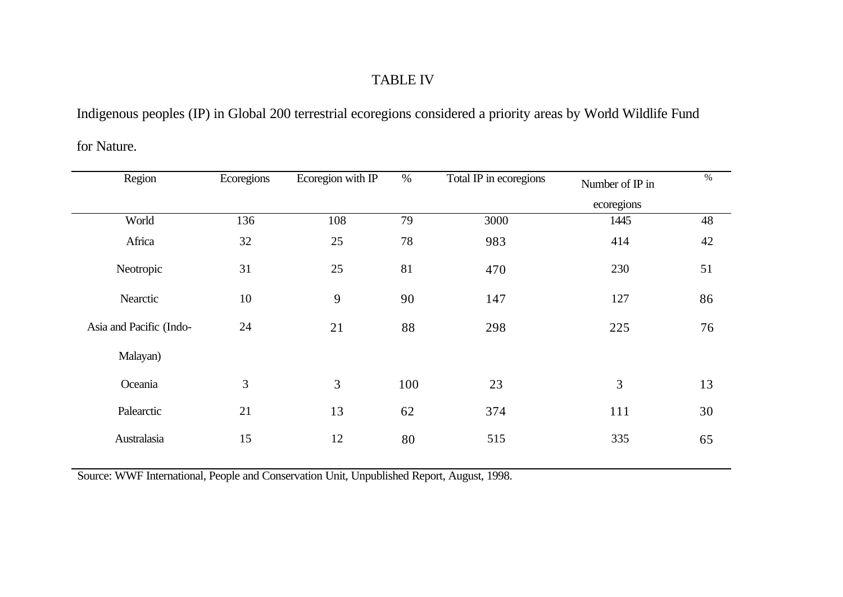# TABLE IV

Indigenous peoples (IP) in Global 200 terrestrial ecoregions considered a priority areas by World Wildlife Fund for Nature.

| Region                  | Ecoregions | Ecoregion with IP | $\%$             | Total IP in ecoregions<br>Number of IP in |            | $\%$ |
|-------------------------|------------|-------------------|------------------|-------------------------------------------|------------|------|
|                         |            |                   |                  |                                           | ecoregions |      |
| World                   | 136        | 108               | 79               | 3000                                      | 1445       | 48   |
| Africa                  | 32         | 25                | 78<br>983        |                                           | 414        | 42   |
| Neotropic               | 31         | 25                | 81<br>230<br>470 |                                           |            | 51   |
| Nearctic                | 10         | 9                 | 90               | 147                                       | 127        | 86   |
| Asia and Pacific (Indo- | 24         | 21                | 88               | 298                                       | 225        | 76   |
| Malayan)                |            |                   |                  |                                           |            |      |
| Oceania                 | 3          | $\overline{3}$    | 100              | 23                                        | 3          | 13   |
| Palearctic              | 21         | 13                | 62               | 374                                       | 111        | 30   |
| Australasia             | 15         | 12                | 80               | 515                                       | 335        | 65   |

Source: WWF International, People and Conservation Unit, Unpublished Report, August, 1998.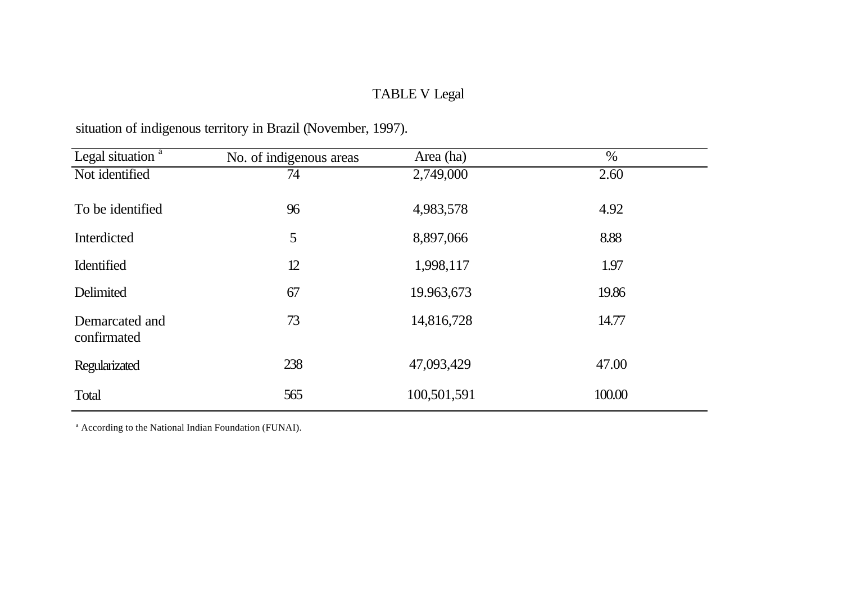# TABLE V Legal

| Legal situation $a$           | No. of indigenous areas | Area (ha)   | $\%$   |
|-------------------------------|-------------------------|-------------|--------|
| Not identified                | 74                      | 2,749,000   | 2.60   |
| To be identified              | 96                      | 4,983,578   | 4.92   |
| Interdicted                   | 5                       | 8,897,066   | 8.88   |
| Identified                    | 12                      | 1,998,117   | 1.97   |
| Delimited                     | 67                      | 19.963,673  | 19.86  |
| Demarcated and<br>confirmated | 73                      | 14,816,728  | 14.77  |
| Regularizated                 | 238                     | 47,093,429  | 47.00  |
| Total                         | 565                     | 100,501,591 | 100.00 |

situation of indigenous territory in Brazil (November, 1997).

ª According to the National Indian Foundation (FUNAI).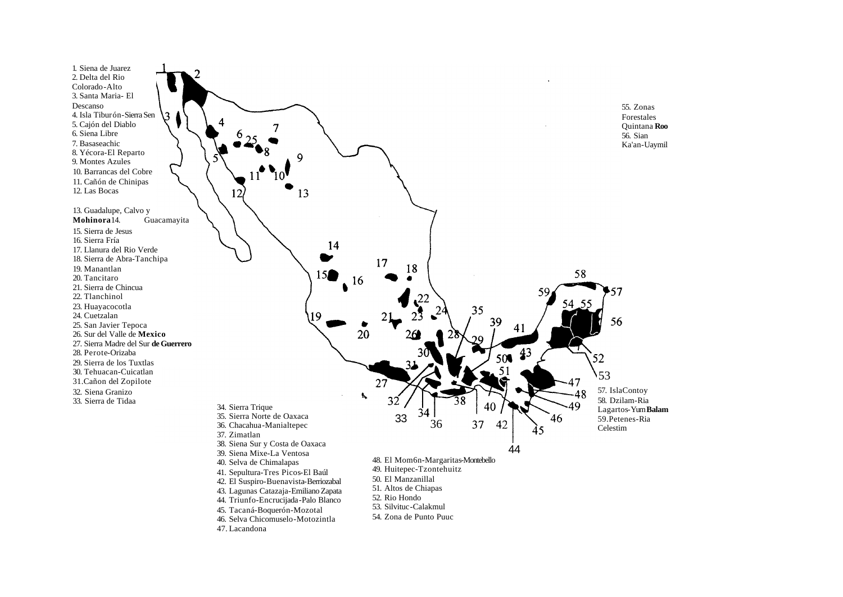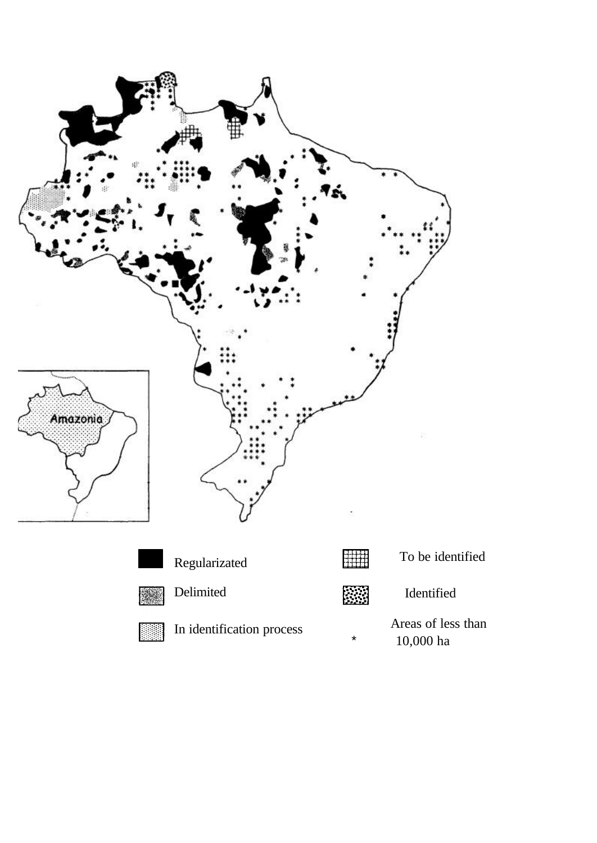



Delimited

In identification process



To be identified



\*

Identified

Areas of less than 10,000 ha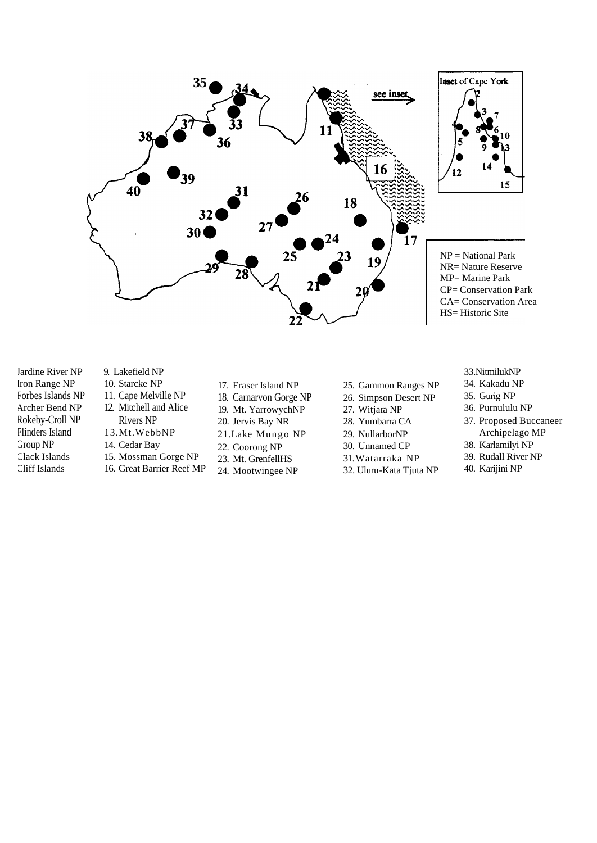

Jardine River NP Iron Range NP Forbes Islands NP Archer Bend NP Rokeby-Croll NP Flinders Island Group NP Clack Islands Cliff Islands

9. Lakefield NP 10. Starcke NP 11. Cape Melville NP 12. Mitchell and Alice Rivers NP 13.Mt.WebbNP 14. Cedar Bay 15. Mossman Gorge NP 16. Great Barrier Reef MP

17. Fraser Island NP

18. Carnarvon Gorge NP

19. Mt. YarrowychNP

- 20. Jervis Bay NR
- 21.Lake Mungo NP
- 22. Coorong NP
- 23. Mt. GrenfellHS
	- 24. Mootwingee NP

25. Gammon Ranges NP

- 26. Simpson Desert NP
- 27. Witjara NP
- 28. Yumbarra CA
- 29. NullarborNP
- 30. Unnamed CP
- 31.Watarraka NP
- 32. Uluru-Kata Tjuta NP
- 33.NitmilukNP
- 34. Kakadu NP
- 35. Gurig NP
- 36. Purnululu NP
- 37. Proposed Buccaneer Archipelago MP
- 38. Karlamilyi NP
- 39. Rudall River NP
- 40. Karijini NP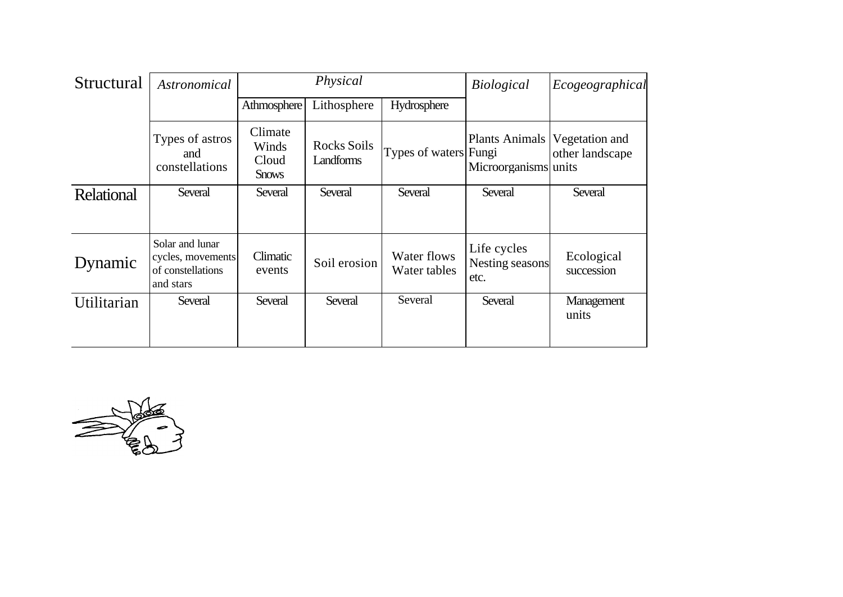| Structural  | Astronomical                                                           | Physical                                  |                          |                             | <b>Biological</b>                             | Ecogeographical                   |
|-------------|------------------------------------------------------------------------|-------------------------------------------|--------------------------|-----------------------------|-----------------------------------------------|-----------------------------------|
|             |                                                                        | Athmosphere                               | Lithosphere              | Hydrosphere                 |                                               |                                   |
|             | Types of astros<br>and<br>constellations                               | Climate<br>Winds<br>Cloud<br><b>Snows</b> | Rocks Soils<br>Landforms | Types of waters Fungi       | <b>Plants Animals</b><br>Microorganisms units | Vegetation and<br>other landscape |
| Relational  | Several                                                                | Several                                   | Several                  | Several                     | Several                                       | <b>Several</b>                    |
| Dynamic     | Solar and lunar<br>cycles, movements<br>of constellations<br>and stars | Climatic<br>events                        | Soil erosion             | Water flows<br>Water tables | Life cycles<br>Nesting seasons<br>etc.        | Ecological<br>succession          |
| Utilitarian | <b>Several</b>                                                         | <b>Several</b>                            | Several                  | Several                     | Several                                       | Management<br>units               |